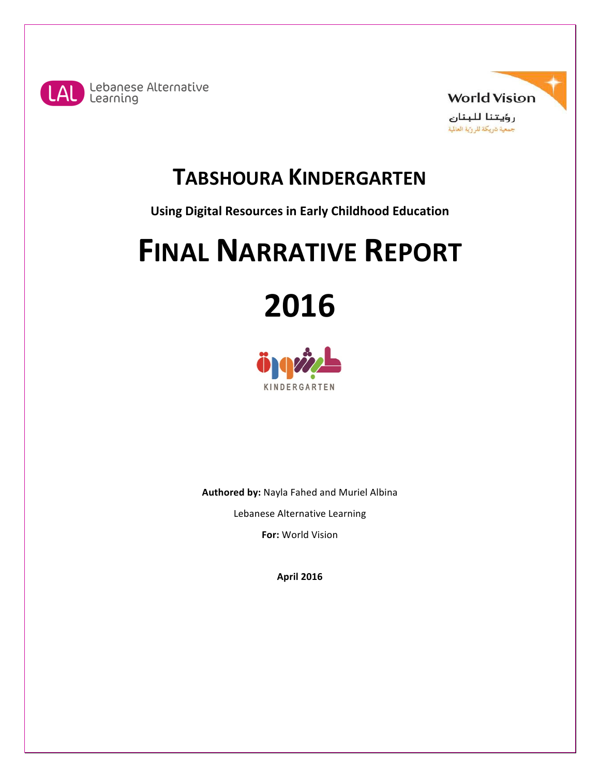



# **TABSHOURA KINDERGARTEN**

**Using Digital Resources in Early Childhood Education** 

# **FINAL NARRATIVE REPORT**

**2016**



**Authored by: Nayla Fahed and Muriel Albina** Lebanese Alternative Learning

**For: World Vision** 

**April 2016**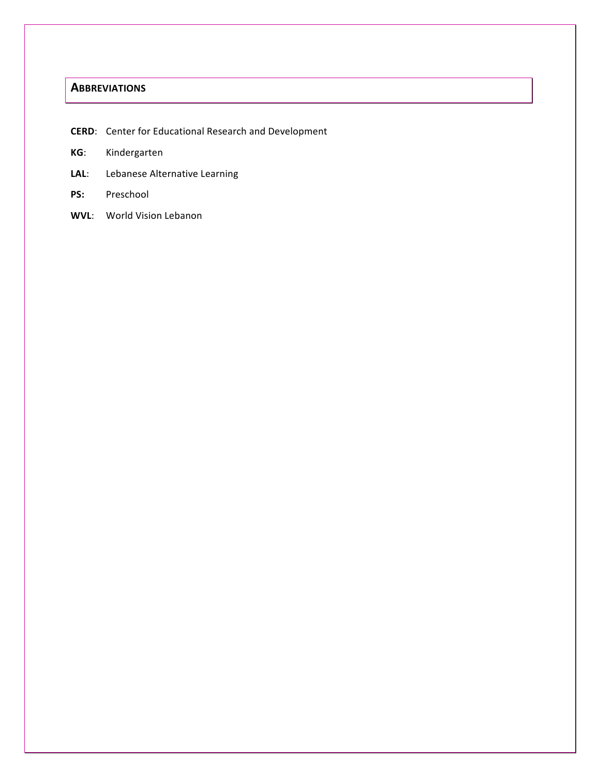# **ABBREVIATIONS**

**CERD:** Center for Educational Research and Development

- **KG**: Kindergarten
- LAL: Lebanese Alternative Learning
- **PS:** Preschool
- **WVL:** World Vision Lebanon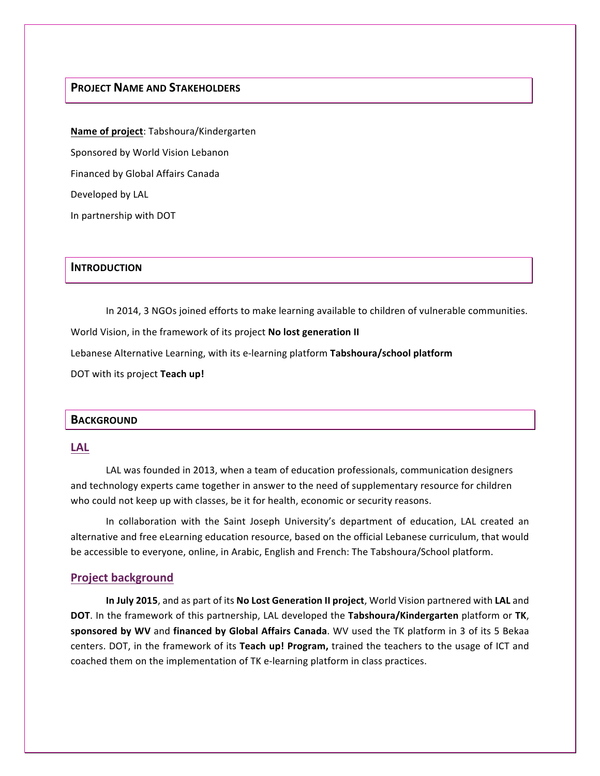# **PROJECT NAME AND STAKEHOLDERS**

**Name of project:** Tabshoura/Kindergarten Sponsored by World Vision Lebanon Financed by Global Affairs Canada Developed by LAL In partnership with DOT

#### **INTRODUCTION**

In 2014, 3 NGOs joined efforts to make learning available to children of vulnerable communities.

World Vision, in the framework of its project **No lost generation II** 

Lebanese Alternative Learning, with its e-learning platform Tabshoura/school platform

DOT with its project **Teach up!** 

#### **BACKGROUND**

#### **LAL**

LAL was founded in 2013, when a team of education professionals, communication designers and technology experts came together in answer to the need of supplementary resource for children who could not keep up with classes, be it for health, economic or security reasons.

In collaboration with the Saint Joseph University's department of education, LAL created an alternative and free eLearning education resource, based on the official Lebanese curriculum, that would be accessible to everyone, online, in Arabic, English and French: The Tabshoura/School platform.

#### **Project background**

In July 2015, and as part of its No Lost Generation II project, World Vision partnered with LAL and **DOT**. In the framework of this partnership, LAL developed the **Tabshoura/Kindergarten** platform or **TK**, sponsored by WV and financed by Global Affairs Canada. WV used the TK platform in 3 of its 5 Bekaa centers. DOT, in the framework of its Teach up! Program, trained the teachers to the usage of ICT and coached them on the implementation of TK e-learning platform in class practices.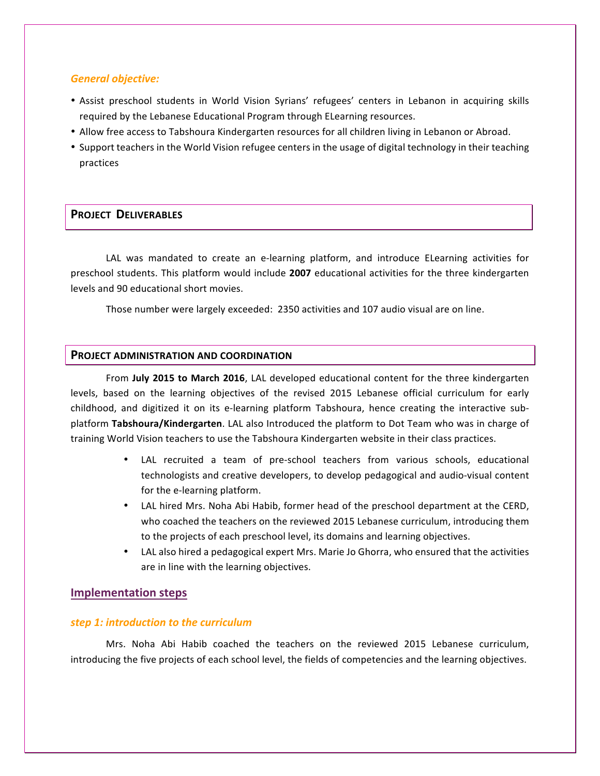#### *General objective:*

- Assist preschool students in World Vision Syrians' refugees' centers in Lebanon in acquiring skills required by the Lebanese Educational Program through ELearning resources.
- Allow free access to Tabshoura Kindergarten resources for all children living in Lebanon or Abroad.
- Support teachers in the World Vision refugee centers in the usage of digital technology in their teaching practices

#### **PROJECT DELIVERABLES**

LAL was mandated to create an e-learning platform, and introduce ELearning activities for preschool students. This platform would include 2007 educational activities for the three kindergarten levels and 90 educational short movies.

Those number were largely exceeded: 2350 activities and 107 audio visual are on line.

#### **PROJECT ADMINISTRATION AND COORDINATION**

From July 2015 to March 2016, LAL developed educational content for the three kindergarten levels, based on the learning objectives of the revised 2015 Lebanese official curriculum for early childhood, and digitized it on its e-learning platform Tabshoura, hence creating the interactive subplatform Tabshoura/Kindergarten. LAL also Introduced the platform to Dot Team who was in charge of training World Vision teachers to use the Tabshoura Kindergarten website in their class practices.

- LAL recruited a team of pre-school teachers from various schools, educational technologists and creative developers, to develop pedagogical and audio-visual content for the e-learning platform.
- LAL hired Mrs. Noha Abi Habib, former head of the preschool department at the CERD, who coached the teachers on the reviewed 2015 Lebanese curriculum, introducing them to the projects of each preschool level, its domains and learning objectives.
- LAL also hired a pedagogical expert Mrs. Marie Jo Ghorra, who ensured that the activities are in line with the learning objectives.

#### **Implementation steps**

#### **step 1: introduction to the curriculum**

Mrs. Noha Abi Habib coached the teachers on the reviewed 2015 Lebanese curriculum, introducing the five projects of each school level, the fields of competencies and the learning objectives.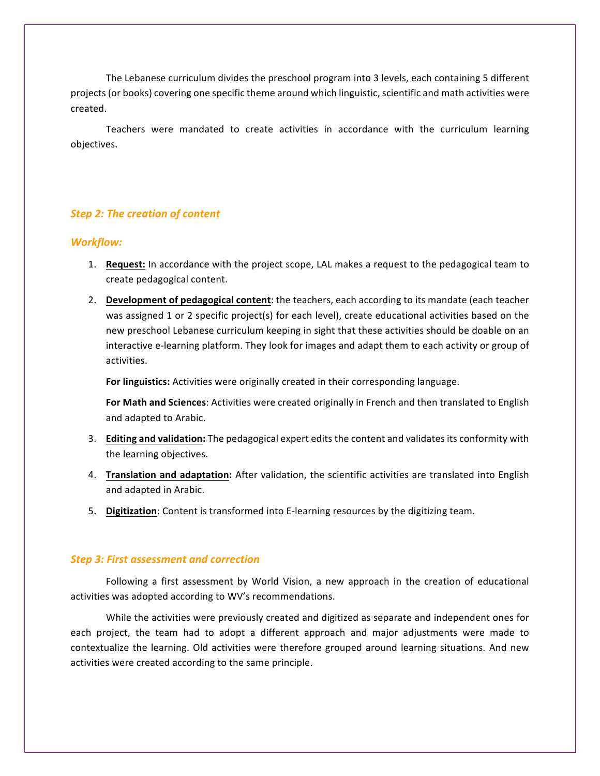The Lebanese curriculum divides the preschool program into 3 levels, each containing 5 different projects (or books) covering one specific theme around which linguistic, scientific and math activities were created.

Teachers were mandated to create activities in accordance with the curriculum learning objectives.

#### **Step 2: The creation of content**

#### *Workflow:*

- 1. **Request:** In accordance with the project scope, LAL makes a request to the pedagogical team to create pedagogical content.
- 2. **Development of pedagogical content**: the teachers, each according to its mandate (each teacher was assigned 1 or 2 specific project(s) for each level), create educational activities based on the new preschool Lebanese curriculum keeping in sight that these activities should be doable on an interactive e-learning platform. They look for images and adapt them to each activity or group of activities.

For linguistics: Activities were originally created in their corresponding language.

For Math and Sciences: Activities were created originally in French and then translated to English and adapted to Arabic.

- 3. **Editing and validation:** The pedagogical expert edits the content and validates its conformity with the learning objectives.
- 4. **Translation and adaptation:** After validation, the scientific activities are translated into English and adapted in Arabic.
- 5. Digitization: Content is transformed into E-learning resources by the digitizing team.

#### *Step 3: First assessment and correction*

Following a first assessment by World Vision, a new approach in the creation of educational activities was adopted according to WV's recommendations.

While the activities were previously created and digitized as separate and independent ones for each project, the team had to adopt a different approach and major adjustments were made to contextualize the learning. Old activities were therefore grouped around learning situations. And new activities were created according to the same principle.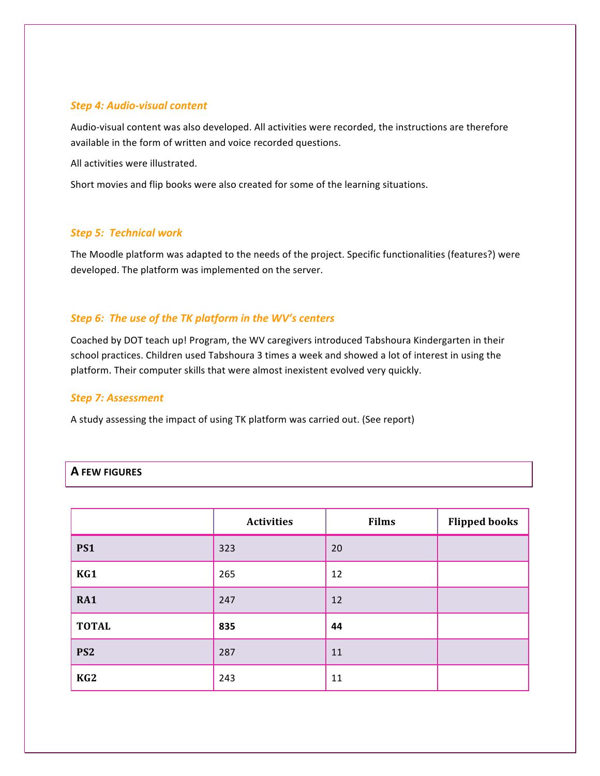#### *Step 4: Audio-visual content*

Audio-visual content was also developed. All activities were recorded, the instructions are therefore available in the form of written and voice recorded questions.

All activities were illustrated.

Short movies and flip books were also created for some of the learning situations.

#### *Step 5: Technical work*

The Moodle platform was adapted to the needs of the project. Specific functionalities (features?) were developed. The platform was implemented on the server.

## *Step 6: The use of the TK platform in the WV's centers*

Coached by DOT teach up! Program, the WV caregivers introduced Tabshoura Kindergarten in their school practices. Children used Tabshoura 3 times a week and showed a lot of interest in using the platform. Their computer skills that were almost inexistent evolved very quickly.

#### *Step 7: Assessment*

A study assessing the impact of using TK platform was carried out. (See report)

|                 | <b>Activities</b> | <b>Films</b> | <b>Flipped books</b> |
|-----------------|-------------------|--------------|----------------------|
| PS1             | 323               | 20           |                      |
| KG1             | 265               | 12           |                      |
| <b>RA1</b>      | 247               | 12           |                      |
| <b>TOTAL</b>    | 835               | 44           |                      |
| PS <sub>2</sub> | 287               | 11           |                      |
| KG <sub>2</sub> | 243               | 11           |                      |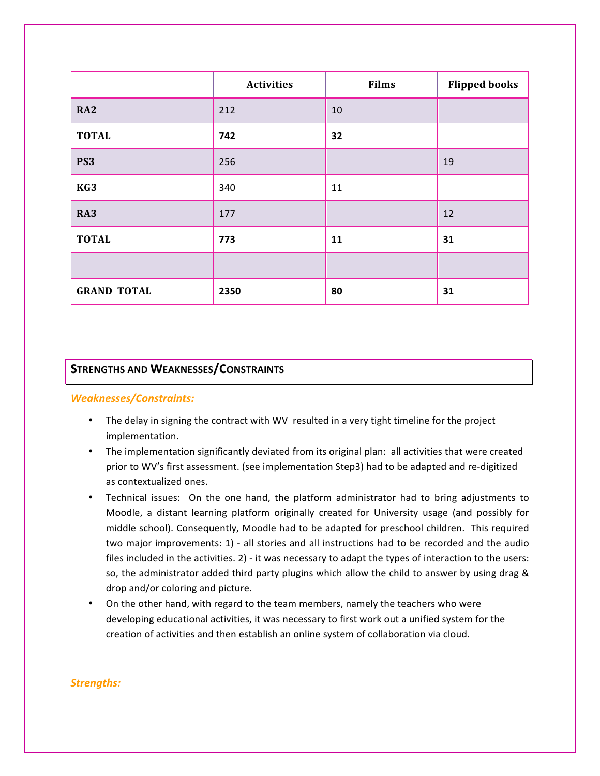|                    | <b>Activities</b> | <b>Films</b> | <b>Flipped books</b> |
|--------------------|-------------------|--------------|----------------------|
| <b>RA2</b>         | 212               | 10           |                      |
| <b>TOTAL</b>       | 742               | 32           |                      |
| PS <sub>3</sub>    | 256               |              | 19                   |
| KG3                | 340               | 11           |                      |
| RA3                | 177               |              | 12                   |
| <b>TOTAL</b>       | 773               | 11           | 31                   |
|                    |                   |              |                      |
| <b>GRAND TOTAL</b> | 2350              | 80           | 31                   |

# **STRENGTHS AND WEAKNESSES/CONSTRAINTS**

#### *Weaknesses/Constraints:*

- The delay in signing the contract with WV resulted in a very tight timeline for the project implementation.
- The implementation significantly deviated from its original plan: all activities that were created prior to WV's first assessment. (see implementation Step3) had to be adapted and re-digitized as contextualized ones.
- Technical issues: On the one hand, the platform administrator had to bring adjustments to Moodle, a distant learning platform originally created for University usage (and possibly for middle school). Consequently, Moodle had to be adapted for preschool children. This required two major improvements: 1) - all stories and all instructions had to be recorded and the audio files included in the activities. 2) - it was necessary to adapt the types of interaction to the users: so, the administrator added third party plugins which allow the child to answer by using drag & drop and/or coloring and picture.
- On the other hand, with regard to the team members, namely the teachers who were developing educational activities, it was necessary to first work out a unified system for the creation of activities and then establish an online system of collaboration via cloud.

## *Strengths:*